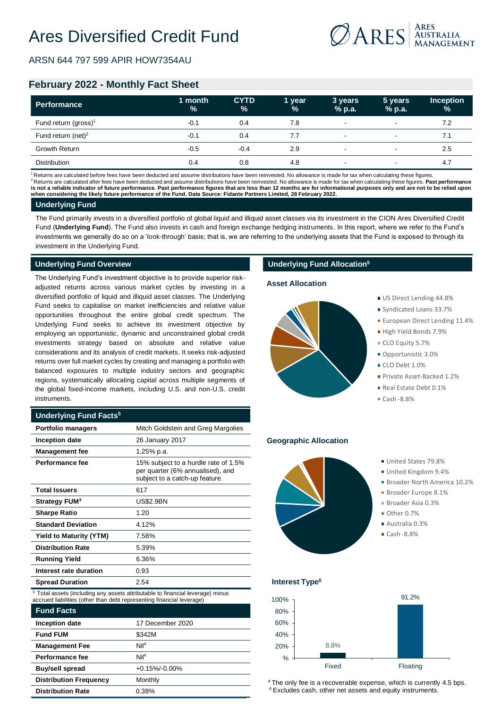

ARSN 644 797 599 APIR HOW7354AU

# **February 2022 - Monthly Fact Sheet**

| <b>Performance</b>               | 1 month<br>$\frac{0}{0}$ | <b>CYTD</b><br>$\frac{9}{6}$ | 1 year<br>$\%$ | 3 years<br>% p.a.        | 5 years<br>% p.a.        | <b>Inception</b><br>$\frac{9}{6}$ |
|----------------------------------|--------------------------|------------------------------|----------------|--------------------------|--------------------------|-----------------------------------|
| Fund return (gross) <sup>1</sup> | $-0.1$                   | 0.4                          | 7.8            | $\overline{\phantom{a}}$ | $\overline{\phantom{a}}$ | 7.2                               |
| Fund return (net) $2$            | $-0.1$                   | 0.4                          | 7.7            | $\overline{\phantom{a}}$ | $\,$                     | 7.1                               |
| <b>Growth Return</b>             | $-0.5$                   | $-0.4$                       | 2.9            | $\overline{\phantom{0}}$ |                          | 2.5                               |
| Distribution                     | 0.4                      | 0.8                          | 4.8            | $\overline{\phantom{0}}$ |                          | 4.7                               |

Returns are calculated before fees have been deducted and assume distributions have been reinvested. No allowance is made for tax when calculating these figures. <sup>2</sup>Returns are calculated after fees have been deducted and assume distributions have been reinvested. No allowance is made for tax when calculating these figures. **Past performance is not a reliable indicator of future performance. Past performance figures that are less than 12 months are for informational purposes only and are not to be relied upon when considering the likely future performance of the Fund. Data Source: Fidante Partners Limited, 28 February 2022.**

### **Underlying Fund**

The Fund primarily invests in a diversified portfolio of global liquid and illiquid asset classes via its investment in the CION Ares Diversified Credit Fund (**Underlying Fund**). The Fund also invests in cash and foreign exchange hedging instruments. In this report, where we refer to the Fund's investments we generally do so on a 'look-through' basis; that is, we are referring to the underlying assets that the Fund is exposed to through its investment in the Underlying Fund.

### **Underlying Fund Overview**

The Underlying Fund's investment objective is to provide superior riskadjusted returns across various market cycles by investing in a diversified portfolio of liquid and illiquid asset classes. The Underlying Fund seeks to capitalise on market inefficiencies and relative value opportunities throughout the entire global credit spectrum. The Underlying Fund seeks to achieve its investment objective by employing an opportunistic, dynamic and unconstrained global credit investments strategy based on absolute and relative value considerations and its analysis of credit markets. It seeks risk-adjusted returns over full market cycles by creating and managing a portfolio with balanced exposures to multiple industry sectors and geographic regions, systematically allocating capital across multiple segments of the global fixed-income markets, including U.S. and non-U.S. credit instruments.

### **Underlying Fund Facts<sup>5</sup>**

| <b>Portfolio managers</b>      | Mitch Goldstein and Greg Margolies                                                                         |  |  |
|--------------------------------|------------------------------------------------------------------------------------------------------------|--|--|
| <b>Inception date</b>          | 26 January 2017                                                                                            |  |  |
| <b>Management fee</b>          | 1.25% p.a.                                                                                                 |  |  |
| Performance fee                | 15% subject to a hurdle rate of 1.5%<br>per quarter (6% annualised), and<br>subject to a catch-up feature. |  |  |
| <b>Total Issuers</b>           | 617                                                                                                        |  |  |
| Strategy FUM <sup>3</sup>      | <b>US\$2.9BN</b>                                                                                           |  |  |
| <b>Sharpe Ratio</b>            | 1.20                                                                                                       |  |  |
| <b>Standard Deviation</b>      | 4.12%                                                                                                      |  |  |
| <b>Yield to Maturity (YTM)</b> | 7.58%                                                                                                      |  |  |
| <b>Distribution Rate</b>       | 5.39%                                                                                                      |  |  |
| <b>Running Yield</b>           | 6.36%                                                                                                      |  |  |
| Interest rate duration         | 0.93                                                                                                       |  |  |
| <b>Spread Duration</b>         | 2.54                                                                                                       |  |  |

<sup>3</sup> Total assets (including any assets attributable to financial leverage) minus accrued liabilities (other than debt representing financial leverage)

| <b>Fund Facts</b>             |                    |
|-------------------------------|--------------------|
| Inception date                | 17 December 2020   |
| <b>Fund FUM</b>               | \$342M             |
| <b>Management Fee</b>         | Nil <sup>4</sup>   |
| Performance fee               | NiI <sup>4</sup>   |
| <b>Buy/sell spread</b>        | $+0.15\% - 0.00\%$ |
| <b>Distribution Frequency</b> | Monthly            |
| <b>Distribution Rate</b>      | 0.38%              |

# **Underlying Fund Allocation<sup>5</sup>**

### **Asset Allocation**



- US Direct Lending 44.8%
	- Syndicated Loans 33.7%
	- **European Direct Lending 11.4%**
	- High Yield Bonds 7.9%
	- CLO Equity 5.7%
	- Opportunistic 3.0%
	- CLO Debt 1.0%
	- Private Asset-Backed 1.2%
	- Real Estate Debt 0.1%
	- $Cash -8.8%$

## **Geographic Allocation**



- United Kingdom 9.4%
- Broader North America 10.2%
- Broader Europe 8.1%
- Broader Asia 0.3%
- $\bigcap_{k=1}^{\infty}$  Other 0.7%
- Australia 0.3%
- $\blacksquare$  Cash -8.8%

# **Interest Type<sup>6</sup>**



 $4$  The only fee is a recoverable expense, which is currently 4.5 bps. <sup>6</sup> Excludes cash, other net assets and equity instruments.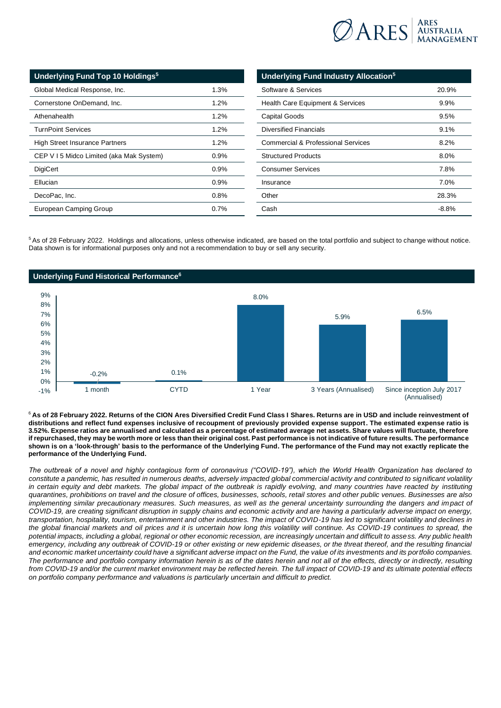

| Underlying Fund Top 10 Holdings <sup>5</sup> |         |  |  |
|----------------------------------------------|---------|--|--|
| Global Medical Response, Inc.                | 1.3%    |  |  |
| Cornerstone OnDemand, Inc.                   | 1.2%    |  |  |
| Athenahealth                                 | 1.2%    |  |  |
| <b>TurnPoint Services</b>                    | 1.2%    |  |  |
| High Street Insurance Partners               | 1.2%    |  |  |
| CEP V 15 Midco Limited (aka Mak System)      | 0.9%    |  |  |
| <b>DigiCert</b>                              | $0.9\%$ |  |  |
| Ellucian                                     | 0.9%    |  |  |
| DecoPac, Inc.                                | 0.8%    |  |  |
| European Camping Group                       | $0.7\%$ |  |  |

| Underlying Fund Industry Allocation <sup>5</sup> |         |
|--------------------------------------------------|---------|
| Software & Services                              | 20.9%   |
| <b>Health Care Equipment &amp; Services</b>      | $9.9\%$ |
| <b>Capital Goods</b>                             | 9.5%    |
| Diversified Financials                           | 9.1%    |
| Commercial & Professional Services               | 8.2%    |
| <b>Structured Products</b>                       | $8.0\%$ |
| <b>Consumer Services</b>                         | 7.8%    |
| Insurance                                        | $7.0\%$ |
| Other                                            | 28.3%   |
| Cash                                             | $-8.8%$ |

<sup>5</sup>As of 28 February 2022. Holdings and allocations, unless otherwise indicated, are based on the total portfolio and subject to change without notice. Data shown is for informational purposes only and not a recommendation to buy or sell any security.



<sup>6</sup>**As of 28 February 2022. Returns of the CION Ares Diversified Credit Fund Class I Shares. Returns are in USD and include reinvestment of distributions and reflect fund expenses inclusive of recoupment of previously provided expense support. The estimated expense ratio is 3.52%. Expense ratios are annualised and calculated as a percentage of estimated average net assets. Share values will fluctuate, therefore if repurchased, they may be worth more or less than their original cost. Past performance is not indicative of future results. The performance shown is on a 'look-through' basis to the performance of the Underlying Fund. The performance of the Fund may not exactly replicate the performance of the Underlying Fund.**

*The outbreak of a novel and highly contagious form of coronavirus ("COVID-19"), which the World Health Organization has declared to constitute a pandemic, has resulted in numerous deaths, adversely impacted global commercial activity and contributed to significant volatility in certain equity and debt markets. The global impact of the outbreak is rapidly evolving, and many countries have reacted by instituting quarantines, prohibitions on travel and the closure of offices, businesses, schools, retail stores and other public venues. Businesses are also*  implementing similar precautionary measures. Such measures, as well as the general uncertainty surrounding the dangers and impact of *COVID-19, are creating significant disruption in supply chains and economic activity and are having a particularly adverse impact on energy, transportation, hospitality, tourism, entertainment and other industries. The impact of COVID-19 has led to significant volatility and declines in the global financial markets and oil prices and it is uncertain how long this volatility will continue. As COVID-19 continues to spread, the potential impacts, including a global, regional or other economic recession, are increasingly uncertain and difficult to assess. Any public health emergency, including any outbreak of COVID-19 or other existing or new epidemic diseases, or the threat thereof, and the resulting financial and economic market uncertainty could have a significant adverse impact on the Fund, the value of its investments and its portfolio companies. The performance and portfolio company information herein is as of the dates herein and not all of the effects, directly or indirectly, resulting from COVID-19 and/or the current market environment may be reflected herein. The full impact of COVID-19 and its ultimate potential effects on portfolio company performance and valuations is particularly uncertain and difficult to predict.*